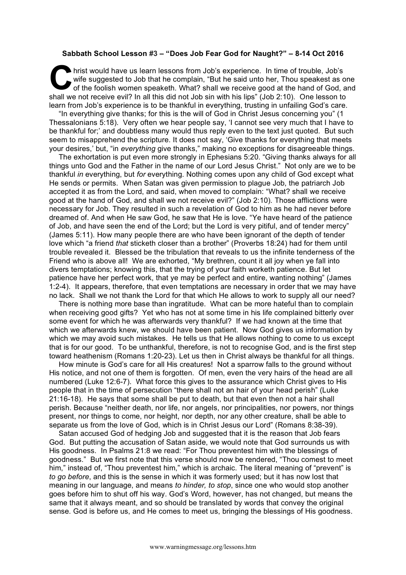## **Sabbath School Lesson #3 – "Does Job Fear God for Naught?" – 8-14 Oct 2016**

hrist would have us learn lessons from Job's experience. In time of trouble, Job's wife suggested to Job that he complain, "But he said unto her, Thou speakest as one of the foolish women speaketh. What? shall we receive good at the hand of God, and hrist would have us learn lessons from Job's experience. In time of trouble, Job's wife suggested to Job that he complain, "But he said unto her, Thou speakest as or of the foolish women speaketh. What? shall we receive go learn from Job's experience is to be thankful in everything, trusting in unfailing God's care.

"In everything give thanks; for this is the will of God in Christ Jesus concerning you" (1 Thessalonians 5:18). Very often we hear people say, 'I cannot see very much that I have to be thankful for;' and doubtless many would thus reply even to the text just quoted. But such seem to misapprehend the scripture. It does not say, 'Give thanks for everything that meets your desires,' but, "in *everything* give thanks," making no exceptions for disagreeable things.

The exhortation is put even more strongly in Ephesians 5:20. "Giving thanks always for all things unto God and the Father in the name of our Lord Jesus Christ." Not only are we to be thankful *in* everything, but *for* everything. Nothing comes upon any child of God except what He sends or permits. When Satan was given permission to plague Job, the patriarch Job accepted it as from the Lord, and said, when moved to complain: "What? shall we receive good at the hand of God, and shall we not receive evil?" (Job 2:10). Those afflictions were necessary for Job. They resulted in such a revelation of God to him as he had never before dreamed of. And when He saw God, he saw that He is love. "Ye have heard of the patience of Job, and have seen the end of the Lord; but the Lord is very pitiful, and of tender mercy" (James 5:11). How many people there are who have been ignorant of the depth of tender love which "a friend *that* sticketh closer than a brother" (Proverbs 18:24) had for them until trouble revealed it. Blessed be the tribulation that reveals to us the infinite tenderness of the Friend who is above all! We are exhorted, "My brethren, count it all joy when ye fall into divers temptations; knowing this, that the trying of your faith worketh patience. But let patience have her perfect work, that ye may be perfect and entire, wanting nothing" (James 1:2-4). It appears, therefore, that even temptations are necessary in order that we may have no lack. Shall we not thank the Lord for that which He allows to work to supply all our need?

There is nothing more base than ingratitude. What can be more hateful than to complain when receiving good gifts? Yet who has not at some time in his life complained bitterly over some event for which he was afterwards very thankful? If we had known at the time that which we afterwards knew, we should have been patient. Now God gives us information by which we may avoid such mistakes. He tells us that He allows nothing to come to us except that is for our good. To be unthankful, therefore, is not to recognise God, and is the first step toward heathenism (Romans 1:20-23). Let us then in Christ always be thankful for all things.

How minute is God's care for all His creatures! Not a sparrow falls to the ground without His notice, and not one of them is forgotten. Of men, even the very hairs of the head are all numbered (Luke 12:6-7). What force this gives to the assurance which Christ gives to His people that in the time of persecution "there shall not an hair of your head perish" (Luke 21:16-18). He says that some shall be put to death, but that even then not a hair shall perish. Because "neither death, nor life, nor angels, nor principalities, nor powers, nor things present, nor things to come, nor height, nor depth, nor any other creature, shall be able to separate us from the love of God, which is in Christ Jesus our Lord" (Romans 8:38-39).

Satan accused God of hedging Job and suggested that it is the reason that Job fears God. But putting the accusation of Satan aside, we would note that God surrounds us with His goodness. In Psalms 21:8 we read: "For Thou preventest him with the blessings of goodness." But we first note that this verse should now be rendered, "Thou comest to meet him," instead of, "Thou preventest him," which is archaic. The literal meaning of "prevent" is *to go before*, and this is the sense in which it was formerly used; but it has now lost that meaning in our language, and means *to hinder, to stop*, since one who would stop another goes before him to shut off his way. God's Word, however, has not changed, but means the same that it always meant, and so should be translated by words that convey the original sense. God is before us, and He comes to meet us, bringing the blessings of His goodness.